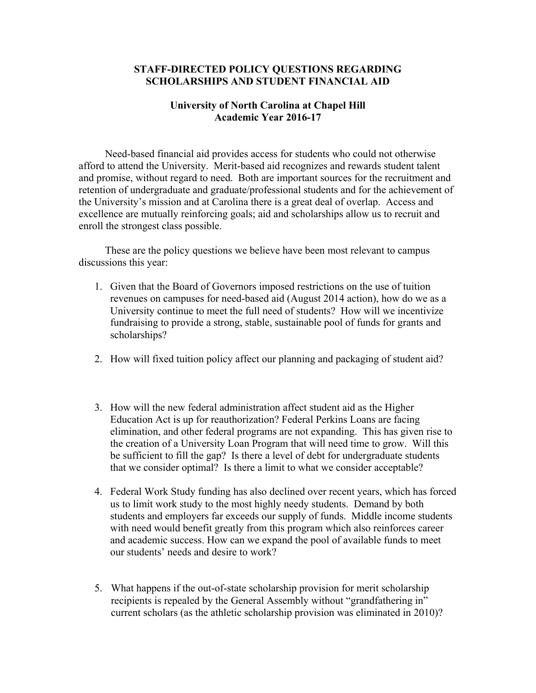## **STAFF-DIRECTED POLICY QUESTIONS REGARDING SCHOLARSHIPS AND STUDENT FINANCIAL AID**

## **University of North Carolina at Chapel Hill Academic Year 2016-17**

 Need-based financial aid provides access for students who could not otherwise afford to attend the University. Merit-based aid recognizes and rewards student talent and promise, without regard to need. Both are important sources for the recruitment and retention of undergraduate and graduate/professional students and for the achievement of the University's mission and at Carolina there is a great deal of overlap. Access and excellence are mutually reinforcing goals; aid and scholarships allow us to recruit and enroll the strongest class possible.

 These are the policy questions we believe have been most relevant to campus discussions this year:

- 1. Given that the Board of Governors imposed restrictions on the use of tuition revenues on campuses for need-based aid (August 2014 action), how do we as a University continue to meet the full need of students? How will we incentivize fundraising to provide a strong, stable, sustainable pool of funds for grants and scholarships?
- 2. How will fixed tuition policy affect our planning and packaging of student aid?
- 3. How will the new federal administration affect student aid as the Higher Education Act is up for reauthorization? Federal Perkins Loans are facing elimination, and other federal programs are not expanding. This has given rise to the creation of a University Loan Program that will need time to grow. Will this be sufficient to fill the gap? Is there a level of debt for undergraduate students that we consider optimal? Is there a limit to what we consider acceptable?
- 4. Federal Work Study funding has also declined over recent years, which has forced us to limit work study to the most highly needy students. Demand by both students and employers far exceeds our supply of funds. Middle income students with need would benefit greatly from this program which also reinforces career and academic success. How can we expand the pool of available funds to meet our students' needs and desire to work?
- 5. What happens if the out-of-state scholarship provision for merit scholarship recipients is repealed by the General Assembly without "grandfathering in" current scholars (as the athletic scholarship provision was eliminated in 2010)?